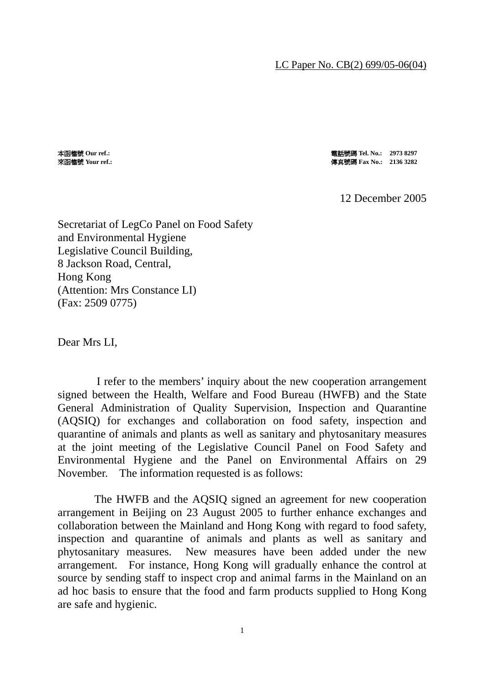## LC Paper No. CB(2) 699/05-06(04)

本函檔號 **Our ref.:** 電話號碼 **Tel. No.: 2973 8297** 來函檔號 **Your ref.:** 傳真號碼 **Fax No.: 2136 3282** 

## 12 December 2005

Secretariat of LegCo Panel on Food Safety and Environmental Hygiene Legislative Council Building, 8 Jackson Road, Central, Hong Kong (Attention: Mrs Constance LI) (Fax: 2509 0775)

Dear Mrs LI,

 I refer to the members' inquiry about the new cooperation arrangement signed between the Health, Welfare and Food Bureau (HWFB) and the State General Administration of Quality Supervision, Inspection and Quarantine (AQSIQ) for exchanges and collaboration on food safety, inspection and quarantine of animals and plants as well as sanitary and phytosanitary measures at the joint meeting of the Legislative Council Panel on Food Safety and Environmental Hygiene and the Panel on Environmental Affairs on 29 November. The information requested is as follows:

 The HWFB and the AQSIQ signed an agreement for new cooperation arrangement in Beijing on 23 August 2005 to further enhance exchanges and collaboration between the Mainland and Hong Kong with regard to food safety, inspection and quarantine of animals and plants as well as sanitary and phytosanitary measures. New measures have been added under the new arrangement. For instance, Hong Kong will gradually enhance the control at source by sending staff to inspect crop and animal farms in the Mainland on an ad hoc basis to ensure that the food and farm products supplied to Hong Kong are safe and hygienic.